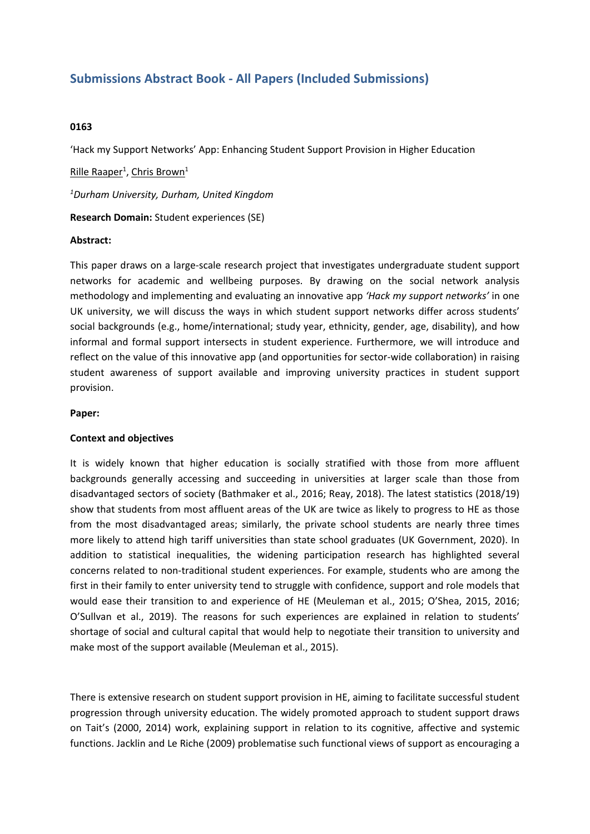# **Submissions Abstract Book - All Papers (Included Submissions)**

# **0163**

'Hack my Support Networks' App: Enhancing Student Support Provision in Higher Education

<u>Rille Raaper<sup>1</sup>, Chris Brown<sup>1</sup></u>

*1 Durham University, Durham, United Kingdom*

**Research Domain:** Student experiences (SE)

#### **Abstract:**

This paper draws on <sup>a</sup> large-scale research project that investigates undergraduate student support networks for academic and wellbeing purposes. By drawing on the social network analysis methodology and implementing and evaluating an innovative app *'Hack my support networks'* in one UK university, we will discuss the ways in which student support networks differ across students' social backgrounds (e.g., home/international; study year, ethnicity, gender, age, disability), and how informal and formal support intersects in student experience. Furthermore, we will introduce and reflect on the value of this innovative app (and opportunities for sector-wide collaboration) in raising student awareness of support available and improving university practices in student support provision.

#### **Paper:**

## **Context and objectives**

It is widely known that higher education is socially stratified with those from more affluent backgrounds generally accessing and succeeding in universities at larger scale than those from disadvantaged sectors of society (Bathmaker et al., 2016; Reay, 2018). The latest statistics (2018/19) show that students from most affluent areas of the UK are twice as likely to progress to HE as those from the most disadvantaged areas; similarly, the private school students are nearly three times more likely to attend high tariff universities than state school graduates (UK Government, 2020). In addition to statistical inequalities, the widening participation research has highlighted several concerns related to non-traditional student experiences. For example, students who are among the first in their family to enter university tend to struggle with confidence, support and role models that would ease their transition to and experience of HE (Meuleman et al., 2015; O'Shea, 2015, 2016; O'Sullvan et al., 2019). The reasons for such experiences are explained in relation to students' shortage of social and cultural capital that would help to negotiate their transition to university and make most of the support available (Meuleman et al., 2015).

There is extensive research on student support provision in HE, aiming to facilitate successful student progression through university education. The widely promoted approach to student support draws on Tait's (2000, 2014) work, explaining support in relation to its cognitive, affective and systemic functions. Jacklin and Le Riche (2009) problematise such functional views of support as encouraging <sup>a</sup>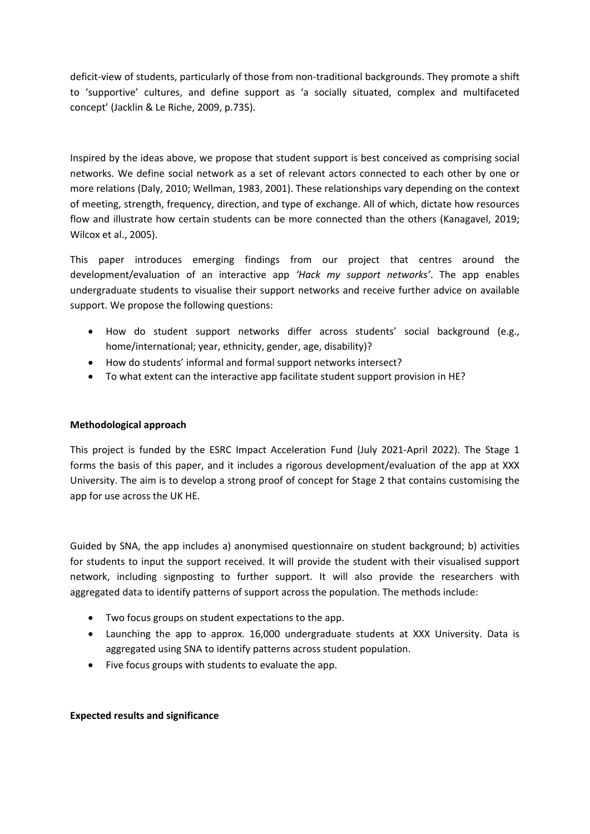deficit-view of students, particularly of those from non-traditional backgrounds. They promote <sup>a</sup> shift to 'supportive' cultures, and define support as 'a socially situated, complex and multifaceted concept' (Jacklin & Le Riche, 2009, p.735).

Inspired by the ideas above, we propose that student support is best conceived as comprising social networks. We define social network as <sup>a</sup> set of relevant actors connected to each other by one or more relations (Daly, 2010; Wellman, 1983, 2001). These relationships vary depending on the context of meeting, strength, frequency, direction, and type of exchange. All of which, dictate how resources flow and illustrate how certain students can be more connected than the others (Kanagavel, 2019; Wilcox et al., 2005).

This paper introduces emerging findings from our project that centres around the development/evaluation of an interactive app *'Hack my support networks'*. The app enables undergraduate students to visualise their support networks and receive further advice on available support. We propose the following questions:

- How do student support networks differ across students' social background (e.g., home/international; year, ethnicity, gender, age, disability)?
- How do students' informal and formal support networks intersect?
- To what extent can the interactive app facilitate student support provision in HE?

# **Methodological approach**

This project is funded by the ESRC Impact Acceleration Fund (July 2021-April 2022). The Stage 1 forms the basis of this paper, and it includes <sup>a</sup> rigorous development/evaluation of the app at XXX University. The aim is to develop <sup>a</sup> strong proof of concept for Stage 2 that contains customising the app for use across the UK HE.

Guided by SNA, the app includes a) anonymised questionnaire on student background; b) activities for students to input the support received. It will provide the student with their visualised support network, including signposting to further support. It will also provide the researchers with aggregated data to identify patterns of support across the population. The methods include:

- Two focus groups on student expectations to the app.
- Launching the app to approx. 16,000 undergraduate students at XXX University. Data is aggregated using SNA to identify patterns across student population.
- Five focus groups with students to evaluate the app.

## **Expected results and significance**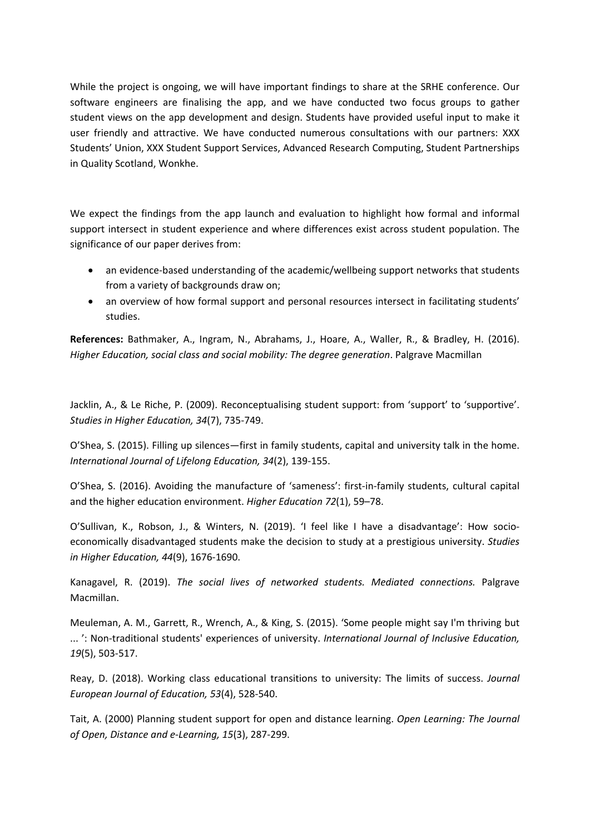While the project is ongoing, we will have important findings to share at the SRHE conference. Our software engineers are finalising the app, and we have conducted two focus groups to gather student views on the app development and design. Students have provided useful input to make it user friendly and attractive. We have conducted numerous consultations with our partners: XXX Students' Union, XXX Student Support Services, Advanced Research Computing, Student Partnerships in Quality Scotland, Wonkhe.

We expect the findings from the app launch and evaluation to highlight how formal and informal support intersect in student experience and where differences exist across student population. The significance of our paper derives from:

- an evidence-based understanding of the academic/wellbeing support networks that students from <sup>a</sup> variety of backgrounds draw on;
- an overview of how formal support and personal resources intersect in facilitating students' studies.

**References:** Bathmaker, A., Ingram, N., Abrahams, J., Hoare, A., Waller, R., & Bradley, H. (2016). *Higher Education, social class and social mobility: The degree generation*. Palgrave Macmillan

Jacklin, A., & Le Riche, P. (2009). Reconceptualising student support: from 'support' to 'supportive'. *Studies in Higher Education, 34*(7), 735-749.

O'Shea, S. (2015). Filling up silences—first in family students, capital and university talk in the home. *International Journal of Lifelong Education, 34*(2), 139-155.

O'Shea, S. (2016). Avoiding the manufacture of 'sameness': first-in-family students, cultural capital and the higher education environment. *Higher Education 72*(1), 59–78.

O'Sullivan, K., Robson, J., & Winters, N. (2019). 'I feel like I have <sup>a</sup> disadvantage': How socioeconomically disadvantaged students make the decision to study at <sup>a</sup> prestigious university. *Studies in Higher Education, 44*(9), 1676-1690.

Kanagavel, R. (2019). *The social lives of networked students. Mediated connections.* Palgrave Macmillan.

Meuleman, A. M., Garrett, R., Wrench, A., & King, S. (2015). 'Some people might say I'm thriving but ... ': Non-traditional students' experiences of university. *International Journal of Inclusive Education, 19*(5), 503-517.

Reay, D. (2018). Working class educational transitions to university: The limits of success. *Journal European Journal of Education, 53*(4), 528-540.

Tait, A. (2000) Planning student support for open and distance learning. *Open Learning: The Journal of Open, Distance and e-Learning, 15*(3), 287-299.